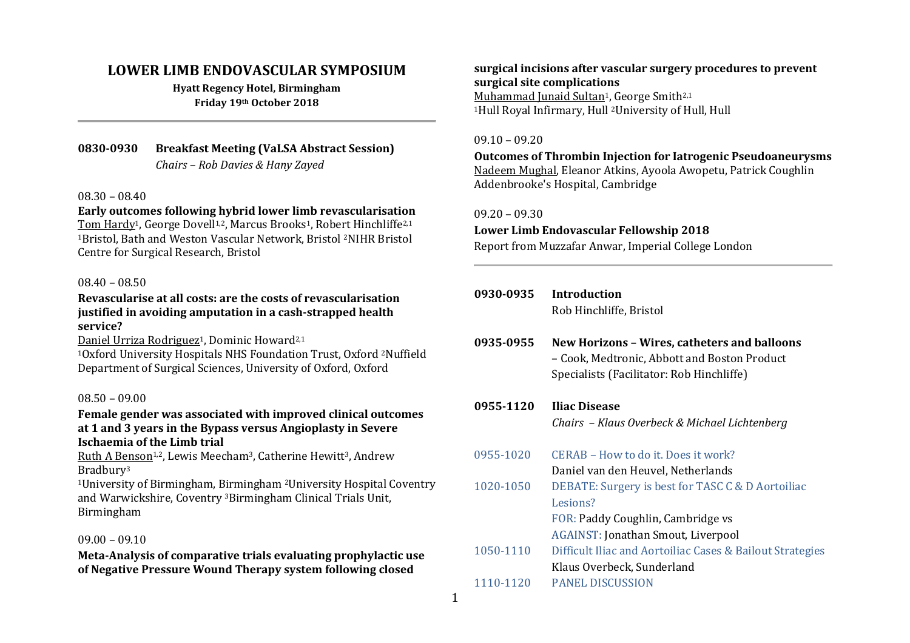## **LOWER LIMB ENDOVASCULAR SYMPOSIUM**

**Hyatt Regency Hotel, Birmingham Friday 19th October 2018**

**0830-0930 Breakfast Meeting (VaLSA Abstract Session)** *Chairs – Rob Davies & Hany Zayed*

#### 08.30 – 08.40

**Early outcomes following hybrid lower limb revascularisation** Tom Hardy<sup>1</sup>, George Dovell<sup>1,2</sup>, Marcus Brooks<sup>1</sup>, Robert Hinchliffe<sup>2,1</sup> <sup>1</sup>Bristol, Bath and Weston Vascular Network, Bristol 2NIHR Bristol Centre for Surgical Research, Bristol

#### 08.40 – 08.50

#### **Revascularise at all costs: are the costs of revascularisation justified in avoiding amputation in a cash-strapped health service?**

Daniel Urriza Rodriguez<sup>1</sup>, Dominic Howard<sup>2,1</sup>

<sup>1</sup>Oxford University Hospitals NHS Foundation Trust, Oxford 2Nuffield Department of Surgical Sciences, University of Oxford, Oxford

#### 08.50 – 09.00

#### **Female gender was associated with improved clinical outcomes at 1 and 3 years in the Bypass versus Angioplasty in Severe Ischaemia of the Limb trial**

Ruth A Benson<sup>1,2</sup>, Lewis Meecham<sup>3</sup>, Catherine Hewitt<sup>3</sup>. Andrew Bradbury<sup>3</sup>

<sup>1</sup>University of Birmingham, Birmingham 2University Hospital Coventry and Warwickshire, Coventry 3Birmingham Clinical Trials Unit, Birmingham

#### 09.00 – 09.10

**Meta-Analysis of comparative trials evaluating prophylactic use of Negative Pressure Wound Therapy system following closed** 

**surgical incisions after vascular surgery procedures to prevent surgical site complications** Muhammad Junaid Sultan<sup>1</sup>, George Smith<sup>2,1</sup> <sup>1</sup>Hull Royal Infirmary, Hull 2University of Hull, Hull

#### 09.10 – 09.20

**Outcomes of Thrombin Injection for Iatrogenic Pseudoaneurysms** Nadeem Mughal, Eleanor Atkins, Ayoola Awopetu, Patrick Coughlin Addenbrooke's Hospital, Cambridge

#### 09.20 – 09.30

#### **Lower Limb Endovascular Fellowship 2018**

Report from Muzzafar Anwar, Imperial College London

| 0930-0935 | Introduction<br>Rob Hinchliffe, Bristol                                                                                                   |
|-----------|-------------------------------------------------------------------------------------------------------------------------------------------|
| 0935-0955 | New Horizons - Wires, catheters and balloons<br>- Cook, Medtronic, Abbott and Boston Product<br>Specialists (Facilitator: Rob Hinchliffe) |
| 0955-1120 | <b>Iliac Disease</b><br>Chairs - Klaus Overbeck & Michael Lichtenberg                                                                     |
| 0955-1020 | CERAB - How to do it. Does it work?                                                                                                       |
|           | Daniel van den Heuvel, Netherlands                                                                                                        |
| 1020-1050 | DEBATE: Surgery is best for TASC C & D Aortoiliac                                                                                         |
|           | Lesions?                                                                                                                                  |
|           | FOR: Paddy Coughlin, Cambridge vs                                                                                                         |
|           | AGAINST: Jonathan Smout, Liverpool                                                                                                        |
| 1050-1110 | Difficult Iliac and Aortoiliac Cases & Bailout Strategies                                                                                 |
|           | Klaus Overbeck, Sunderland                                                                                                                |
| 1110-1120 | <b>PANEL DISCUSSION</b>                                                                                                                   |